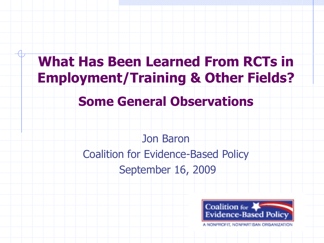## **What Has Been Learned From RCTs in Employment/Training & Other Fields?**

#### **Some General Observations**

Jon Baron Coalition for Evidence-Based Policy September 16, 2009

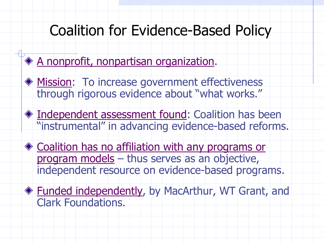# Coalition for Evidence-Based Policy<br>A nonprofit, nonpartisan organization.

- 
- **Mission: To increase government effectiveness** through rigorous evidence about "what works."
- $\triangleq$  Independent assessment found: Coalition has been "instrumental" in advancing evidence-based reforms.
- program models thus serves as an objective, ◆ Coalition has no affiliation with any programs or independent resource on evidence-based programs.
	- Funded independently, by MacArthur, WT Grant, and Clark Foundations.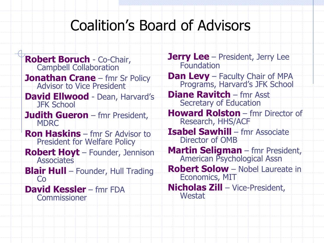## Coalition's Board of Advisors

 **Robert Boruch** - Co-Chair, **David Ellwood** - Dean, Harvard's **Robert Hoyt** – Founder, Jennison Campbell Collaboration **Jonathan Crane** – fmr Sr Policy Advisor to Vice President JFK School **Judith Gueron** – fmr President, MDRC **Ron Haskins** – fmr Sr Advisor to President for Welfare Policy **Associates Blair Hull** – Founder, Hull Trading Co **David Kessler** – fmr FDA **Commissioner** 

**Jerry Lee** – President, Jerry Lee Foundation

**Dan Levy** – Faculty Chair of MPA Programs, Harvard's JFK School

**Diane Ravitch** – fmr Asst Secretary of Education

**Howard Rolston** – fmr Director of Research, HHS/ACF

**Isabel Sawhill** – fmr Associate Director of OMB

**Martin Seligman** – fmr President, American Psychological Assn

**Robert Solow** – Nobel Laureate in Economics, MIT

**Nicholas Zill** – Vice-President, **Westat**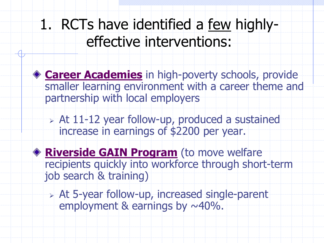1. RCTs have identified a few highlyeffective interventions:



**Career Academies** in high-poverty schools, provide smaller learning environment with a career theme and partnership with local employers

 At 11-12 year follow-up, produced a sustained increase in earnings of \$2200 per year.

 **Riverside GAIN Program** (to move welfare recipients quickly into workforce through short-term job search & training)

 At 5-year follow-up, increased single-parent employment & earnings by  $\sim$ 40%.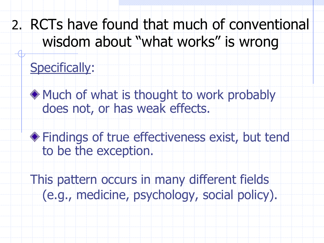## 2. RCTs have found that much of conventional wisdom about "what works" is wrong

## Specifically:

- Much of what is thought to work probably does not, or has weak effects.
- Findings of true effectiveness exist, but tend to be the exception.
- This pattern occurs in many different fields (e.g., medicine, psychology, social policy).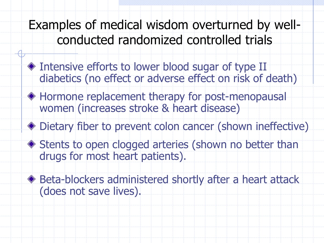Examples of medical wisdom overturned by wellconducted randomized controlled trials

- $\triangle$  Intensive efforts to lower blood sugar of type II diabetics (no effect or adverse effect on risk of death)
- Hormone replacement therapy for post-menopausal women (increases stroke & heart disease)
- Dietary fiber to prevent colon cancer (shown ineffective)
- ◆ Stents to open clogged arteries (shown no better than drugs for most heart patients).
- Beta-blockers administered shortly after a heart attack (does not save lives).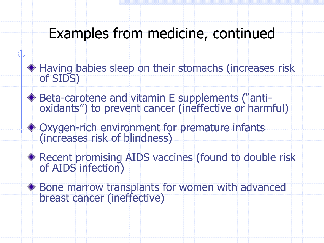## Examples from medicine, continued

- Having babies sleep on their stomachs (increases risk of SIDS)
- Beta-carotene and vitamin E supplements ("anti- oxidants") to prevent cancer (ineffective or harmful)
- Oxygen-rich environment for premature infants (increases risk of blindness)
- ◆ Recent promising AIDS vaccines (found to double risk of AIDS infection)
- Bone marrow transplants for women with advanced breast cancer (ineffective)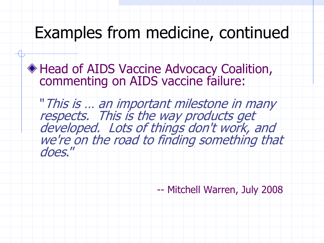## Examples from medicine, continued

Head of AIDS Vaccine Advocacy Coalition, commenting on AIDS vaccine failure:

"This is … an important milestone in many respects. This is the way products get<br>developed. Lots of things don't work, and we're on the road to finding something that does."

-- Mitchell Warren, July 2008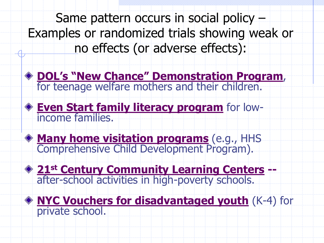Same pattern occurs in social policy – no effects (or adverse effects): Examples or randomized trials showing weak or

**DOL's "New Chance" Demonstration Program**, for teenage welfare mothers and their children.

**Even Start family literacy program** for lowincome families.

**Many home visitation programs** (e.g., HHS Comprehensive Child Development Program).

**21st Century Community Learning Centers --** after-school activities in high-poverty schools.

**NYC Vouchers for disadvantaged youth** (K-4) for private school.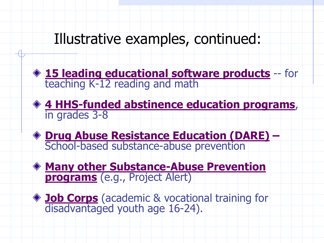### Illustrative examples, continued:





 **Drug Abuse Resistance Education (DARE) –**  School-based substance-abuse prevention

**Many other Substance-Abuse Prevention programs** (e.g., Project Alert)

**Job Corps** (academic & vocational training for disadvantaged youth age 16-24).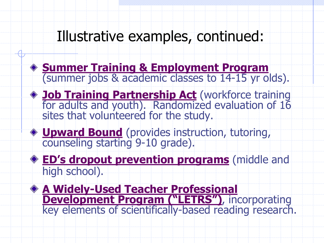## Illustrative examples, continued:

- **Summer Training & Employment Program** (summer jobs & academic classes to 14-15 yr olds).
- **Job Training Partnership Act** (workforce training for adults and youth). Randomized evaluation of 16 sites that volunteered for the study.
- **Upward Bound** (provides instruction, tutoring, counseling starting 9-10 grade).
- **ED's dropout prevention programs** (middle and high school).
- **A Widely-Used Teacher Professional Development Program ("LETRS")**, incorporating key elements of scientifically-based reading research.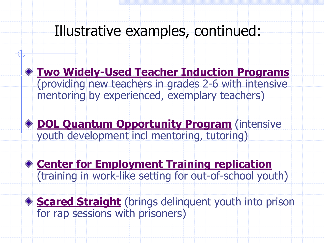## Illustrative examples, continued:



#### **DOL Quantum Opportunity Program** (intensive youth development incl mentoring, tutoring)

**Center for Employment Training replication**  (training in work-like setting for out-of-school youth)

◆ **Scared Straight** (brings delinquent youth into prison for rap sessions with prisoners)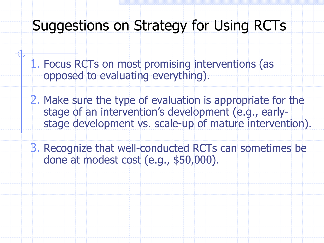#### Suggestions on Strategy for Using RCTs

- 1. Focus RCTs on most promising interventions (as opposed to evaluating everything).
- stage development vs. scale-up of mature intervention). 2. Make sure the type of evaluation is appropriate for the stage of an intervention's development (e.g., early-
- done at modest cost (e.g., \$50,000). stage development vs. scale-up of mature intervention). 3. Recognize that well-conducted RCTs can sometimes be